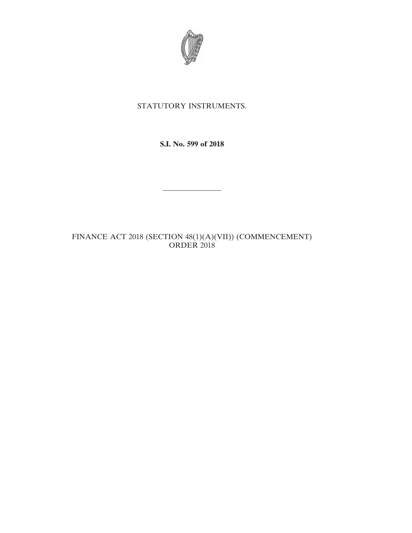

## STATUTORY INSTRUMENTS.

**S.I. No. 599 of 2018**

————————

## FINANCE ACT 2018 (SECTION 48(1)(A)(VII)) (COMMENCEMENT) ORDER 2018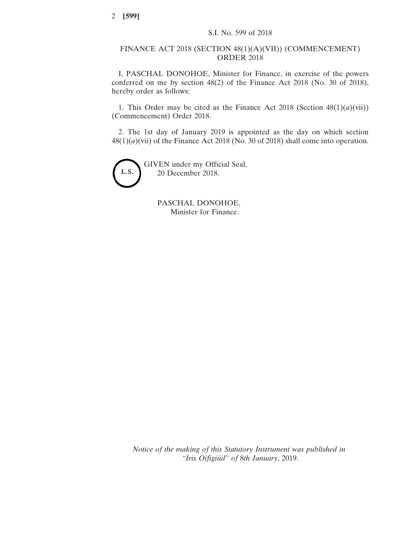## FINANCE ACT 2018 (SECTION 48(1)(A)(VII)) (COMMENCEMENT) ORDER 2018

I, PASCHAL DONOHOE, Minister for Finance, in exercise of the powers conferred on me by section 48(2) of the Finance Act 2018 (No. 30 of 2018), hereby order as follows:

1. This Order may be cited as the Finance Act 2018 (Section  $48(1)(a)(vii)$ ) (Commencement) Order 2018.

2. The 1st day of January 2019 is appointed as the day on which section 48(1)(*a*)(vii) of the Finance Act 2018 (No. 30 of 2018) shall come into operation.



PASCHAL DONOHOE, Minister for Finance.

*Notice of the making of this Statutory Instrument was published in "Iris Oifigiúil" of* 8*th January*, 2019.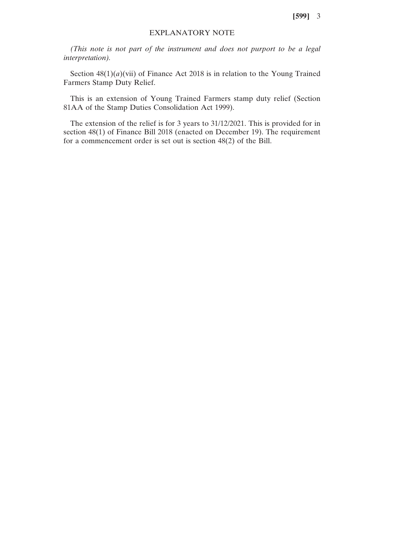**[599]** 3

## EXPLANATORY NOTE

*(This note is not part of the instrument and does not purport to be a legal interpretation).*

Section  $48(1)(a)(vii)$  of Finance Act 2018 is in relation to the Young Trained Farmers Stamp Duty Relief.

This is an extension of Young Trained Farmers stamp duty relief (Section 81AA of the Stamp Duties Consolidation Act 1999).

The extension of the relief is for 3 years to 31/12/2021. This is provided for in section 48(1) of Finance Bill 2018 (enacted on December 19). The requirement for a commencement order is set out is section 48(2) of the Bill.